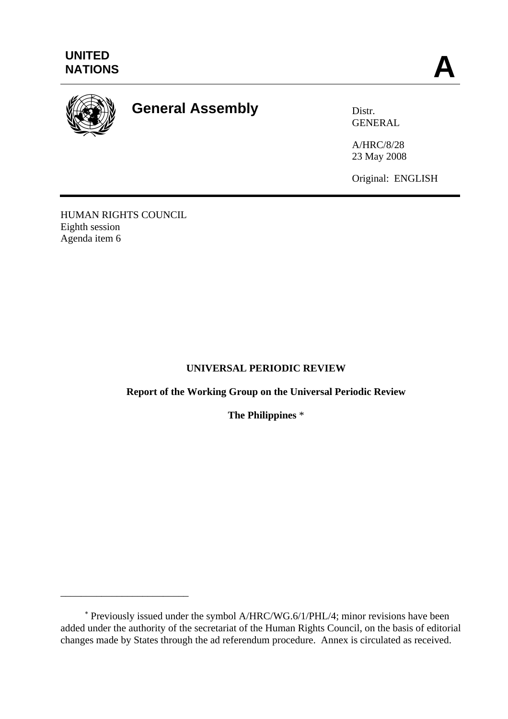

# **General Assembly** Distr.

**GENERAL** 

A/HRC/8/28 23 May 2008

Original: ENGLISH

HUMAN RIGHTS COUNCIL Eighth session Agenda item 6

\_\_\_\_\_\_\_\_\_\_\_\_\_\_\_\_\_\_\_\_\_\_\_\_\_

# **UNIVERSAL PERIODIC REVIEW**

# **Report of the Working Group on the Universal Periodic Review**

**The Philippines** \*

<sup>∗</sup> Previously issued under the symbol A/HRC/WG.6/1/PHL/4; minor revisions have been added under the authority of the secretariat of the Human Rights Council, on the basis of editorial changes made by States through the ad referendum procedure. Annex is circulated as received.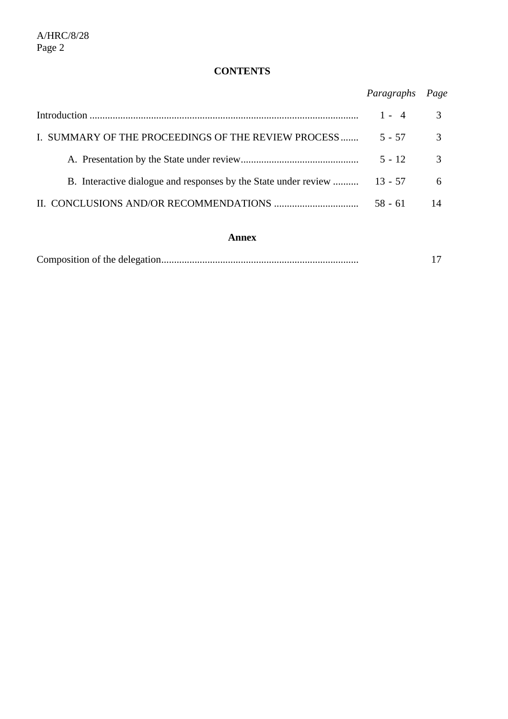# **CONTENTS**

*Paragraphs Page* 

|                                                                          | $1 - 4$   | 3             |
|--------------------------------------------------------------------------|-----------|---------------|
| I. SUMMARY OF THE PROCEEDINGS OF THE REVIEW PROCESS                      | $5 - 57$  | $\mathcal{E}$ |
|                                                                          | $5 - 12$  | $\mathcal{R}$ |
| B. Interactive dialogue and responses by the State under review  13 - 57 |           | 6             |
|                                                                          | $58 - 61$ |               |

## **Annex**

|--|--|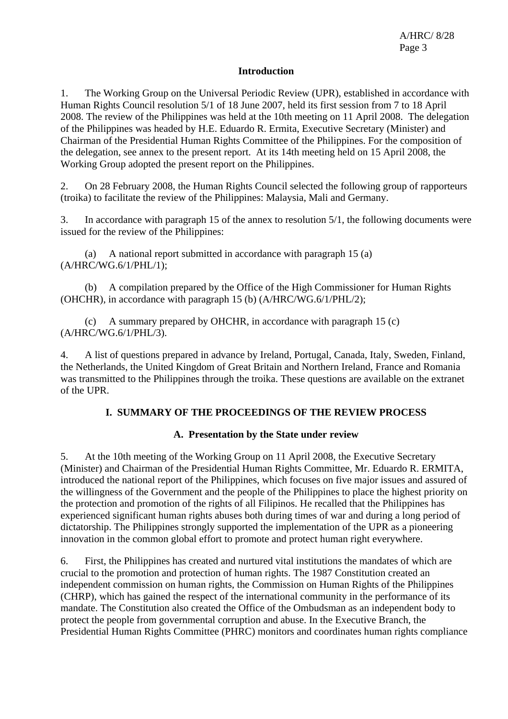#### **Introduction**

1. The Working Group on the Universal Periodic Review (UPR), established in accordance with Human Rights Council resolution 5/1 of 18 June 2007, held its first session from 7 to 18 April 2008. The review of the Philippines was held at the 10th meeting on 11 April 2008. The delegation of the Philippines was headed by H.E. Eduardo R. Ermita, Executive Secretary (Minister) and Chairman of the Presidential Human Rights Committee of the Philippines. For the composition of the delegation, see annex to the present report. At its 14th meeting held on 15 April 2008, the Working Group adopted the present report on the Philippines.

2. On 28 February 2008, the Human Rights Council selected the following group of rapporteurs (troika) to facilitate the review of the Philippines: Malaysia, Mali and Germany.

3. In accordance with paragraph 15 of the annex to resolution 5/1, the following documents were issued for the review of the Philippines:

 (a) A national report submitted in accordance with paragraph 15 (a) (A/HRC/WG.6/1/PHL/1);

 (b) A compilation prepared by the Office of the High Commissioner for Human Rights (OHCHR), in accordance with paragraph 15 (b) (A/HRC/WG.6/1/PHL/2);

 (c) A summary prepared by OHCHR, in accordance with paragraph 15 (c) (A/HRC/WG.6/1/PHL/3).

4. A list of questions prepared in advance by Ireland, Portugal, Canada, Italy, Sweden, Finland, the Netherlands, the United Kingdom of Great Britain and Northern Ireland, France and Romania was transmitted to the Philippines through the troika. These questions are available on the extranet of the UPR.

## **I. SUMMARY OF THE PROCEEDINGS OF THE REVIEW PROCESS**

## **A. Presentation by the State under review**

5. At the 10th meeting of the Working Group on 11 April 2008, the Executive Secretary (Minister) and Chairman of the Presidential Human Rights Committee, Mr. Eduardo R. ERMITA, introduced the national report of the Philippines, which focuses on five major issues and assured of the willingness of the Government and the people of the Philippines to place the highest priority on the protection and promotion of the rights of all Filipinos. He recalled that the Philippines has experienced significant human rights abuses both during times of war and during a long period of dictatorship. The Philippines strongly supported the implementation of the UPR as a pioneering innovation in the common global effort to promote and protect human right everywhere.

6. First, the Philippines has created and nurtured vital institutions the mandates of which are crucial to the promotion and protection of human rights. The 1987 Constitution created an independent commission on human rights, the Commission on Human Rights of the Philippines (CHRP), which has gained the respect of the international community in the performance of its mandate. The Constitution also created the Office of the Ombudsman as an independent body to protect the people from governmental corruption and abuse. In the Executive Branch, the Presidential Human Rights Committee (PHRC) monitors and coordinates human rights compliance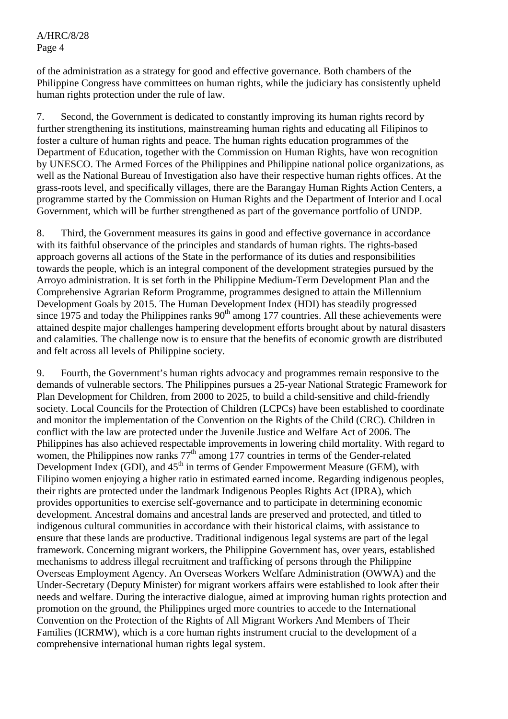of the administration as a strategy for good and effective governance. Both chambers of the Philippine Congress have committees on human rights, while the judiciary has consistently upheld human rights protection under the rule of law.

7. Second, the Government is dedicated to constantly improving its human rights record by further strengthening its institutions, mainstreaming human rights and educating all Filipinos to foster a culture of human rights and peace. The human rights education programmes of the Department of Education, together with the Commission on Human Rights, have won recognition by UNESCO. The Armed Forces of the Philippines and Philippine national police organizations, as well as the National Bureau of Investigation also have their respective human rights offices. At the grass-roots level, and specifically villages, there are the Barangay Human Rights Action Centers, a programme started by the Commission on Human Rights and the Department of Interior and Local Government, which will be further strengthened as part of the governance portfolio of UNDP.

8. Third, the Government measures its gains in good and effective governance in accordance with its faithful observance of the principles and standards of human rights. The rights-based approach governs all actions of the State in the performance of its duties and responsibilities towards the people, which is an integral component of the development strategies pursued by the Arroyo administration. It is set forth in the Philippine Medium-Term Development Plan and the Comprehensive Agrarian Reform Programme, programmes designed to attain the Millennium Development Goals by 2015. The Human Development Index (HDI) has steadily progressed since 1975 and today the Philippines ranks  $90<sup>th</sup>$  among 177 countries. All these achievements were attained despite major challenges hampering development efforts brought about by natural disasters and calamities. The challenge now is to ensure that the benefits of economic growth are distributed and felt across all levels of Philippine society.

9. Fourth, the Government's human rights advocacy and programmes remain responsive to the demands of vulnerable sectors. The Philippines pursues a 25-year National Strategic Framework for Plan Development for Children, from 2000 to 2025, to build a child-sensitive and child-friendly society. Local Councils for the Protection of Children (LCPCs) have been established to coordinate and monitor the implementation of the Convention on the Rights of the Child (CRC). Children in conflict with the law are protected under the Juvenile Justice and Welfare Act of 2006. The Philippines has also achieved respectable improvements in lowering child mortality. With regard to women, the Philippines now ranks  $77<sup>th</sup>$  among 177 countries in terms of the Gender-related Development Index (GDI), and  $45<sup>th</sup>$  in terms of Gender Empowerment Measure (GEM), with Filipino women enjoying a higher ratio in estimated earned income. Regarding indigenous peoples, their rights are protected under the landmark Indigenous Peoples Rights Act (IPRA), which provides opportunities to exercise self-governance and to participate in determining economic development. Ancestral domains and ancestral lands are preserved and protected, and titled to indigenous cultural communities in accordance with their historical claims, with assistance to ensure that these lands are productive. Traditional indigenous legal systems are part of the legal framework. Concerning migrant workers, the Philippine Government has, over years, established mechanisms to address illegal recruitment and trafficking of persons through the Philippine Overseas Employment Agency. An Overseas Workers Welfare Administration (OWWA) and the Under-Secretary (Deputy Minister) for migrant workers affairs were established to look after their needs and welfare. During the interactive dialogue, aimed at improving human rights protection and promotion on the ground, the Philippines urged more countries to accede to the International Convention on the Protection of the Rights of All Migrant Workers And Members of Their Families (ICRMW), which is a core human rights instrument crucial to the development of a comprehensive international human rights legal system.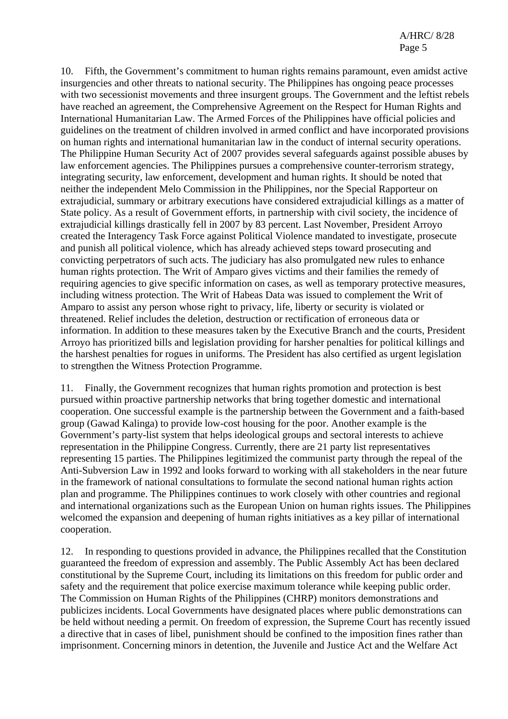10. Fifth, the Government's commitment to human rights remains paramount, even amidst active insurgencies and other threats to national security. The Philippines has ongoing peace processes with two secessionist movements and three insurgent groups. The Government and the leftist rebels have reached an agreement, the Comprehensive Agreement on the Respect for Human Rights and International Humanitarian Law. The Armed Forces of the Philippines have official policies and guidelines on the treatment of children involved in armed conflict and have incorporated provisions on human rights and international humanitarian law in the conduct of internal security operations. The Philippine Human Security Act of 2007 provides several safeguards against possible abuses by law enforcement agencies. The Philippines pursues a comprehensive counter-terrorism strategy, integrating security, law enforcement, development and human rights. It should be noted that neither the independent Melo Commission in the Philippines, nor the Special Rapporteur on extrajudicial, summary or arbitrary executions have considered extrajudicial killings as a matter of State policy. As a result of Government efforts, in partnership with civil society, the incidence of extrajudicial killings drastically fell in 2007 by 83 percent. Last November, President Arroyo created the Interagency Task Force against Political Violence mandated to investigate, prosecute and punish all political violence, which has already achieved steps toward prosecuting and convicting perpetrators of such acts. The judiciary has also promulgated new rules to enhance human rights protection. The Writ of Amparo gives victims and their families the remedy of requiring agencies to give specific information on cases, as well as temporary protective measures, including witness protection. The Writ of Habeas Data was issued to complement the Writ of Amparo to assist any person whose right to privacy, life, liberty or security is violated or threatened. Relief includes the deletion, destruction or rectification of erroneous data or information. In addition to these measures taken by the Executive Branch and the courts, President Arroyo has prioritized bills and legislation providing for harsher penalties for political killings and the harshest penalties for rogues in uniforms. The President has also certified as urgent legislation to strengthen the Witness Protection Programme.

11. Finally, the Government recognizes that human rights promotion and protection is best pursued within proactive partnership networks that bring together domestic and international cooperation. One successful example is the partnership between the Government and a faith-based group (Gawad Kalinga) to provide low-cost housing for the poor. Another example is the Government's party-list system that helps ideological groups and sectoral interests to achieve representation in the Philippine Congress. Currently, there are 21 party list representatives representing 15 parties. The Philippines legitimized the communist party through the repeal of the Anti-Subversion Law in 1992 and looks forward to working with all stakeholders in the near future in the framework of national consultations to formulate the second national human rights action plan and programme. The Philippines continues to work closely with other countries and regional and international organizations such as the European Union on human rights issues. The Philippines welcomed the expansion and deepening of human rights initiatives as a key pillar of international cooperation.

12. In responding to questions provided in advance, the Philippines recalled that the Constitution guaranteed the freedom of expression and assembly. The Public Assembly Act has been declared constitutional by the Supreme Court, including its limitations on this freedom for public order and safety and the requirement that police exercise maximum tolerance while keeping public order. The Commission on Human Rights of the Philippines (CHRP) monitors demonstrations and publicizes incidents. Local Governments have designated places where public demonstrations can be held without needing a permit. On freedom of expression, the Supreme Court has recently issued a directive that in cases of libel, punishment should be confined to the imposition fines rather than imprisonment. Concerning minors in detention, the Juvenile and Justice Act and the Welfare Act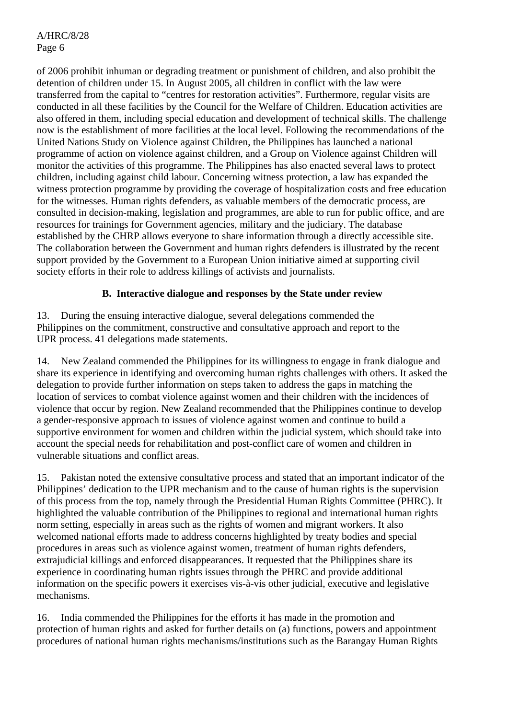of 2006 prohibit inhuman or degrading treatment or punishment of children, and also prohibit the detention of children under 15. In August 2005, all children in conflict with the law were transferred from the capital to "centres for restoration activities". Furthermore, regular visits are conducted in all these facilities by the Council for the Welfare of Children. Education activities are also offered in them, including special education and development of technical skills. The challenge now is the establishment of more facilities at the local level. Following the recommendations of the United Nations Study on Violence against Children, the Philippines has launched a national programme of action on violence against children, and a Group on Violence against Children will monitor the activities of this programme. The Philippines has also enacted several laws to protect children, including against child labour. Concerning witness protection, a law has expanded the witness protection programme by providing the coverage of hospitalization costs and free education for the witnesses. Human rights defenders, as valuable members of the democratic process, are consulted in decision-making, legislation and programmes, are able to run for public office, and are resources for trainings for Government agencies, military and the judiciary. The database established by the CHRP allows everyone to share information through a directly accessible site. The collaboration between the Government and human rights defenders is illustrated by the recent support provided by the Government to a European Union initiative aimed at supporting civil society efforts in their role to address killings of activists and journalists.

## **B. Interactive dialogue and responses by the State under review**

13. During the ensuing interactive dialogue, several delegations commended the Philippines on the commitment, constructive and consultative approach and report to the UPR process. 41 delegations made statements.

14. New Zealand commended the Philippines for its willingness to engage in frank dialogue and share its experience in identifying and overcoming human rights challenges with others. It asked the delegation to provide further information on steps taken to address the gaps in matching the location of services to combat violence against women and their children with the incidences of violence that occur by region. New Zealand recommended that the Philippines continue to develop a gender-responsive approach to issues of violence against women and continue to build a supportive environment for women and children within the judicial system, which should take into account the special needs for rehabilitation and post-conflict care of women and children in vulnerable situations and conflict areas.

15. Pakistan noted the extensive consultative process and stated that an important indicator of the Philippines' dedication to the UPR mechanism and to the cause of human rights is the supervision of this process from the top, namely through the Presidential Human Rights Committee (PHRC). It highlighted the valuable contribution of the Philippines to regional and international human rights norm setting, especially in areas such as the rights of women and migrant workers. It also welcomed national efforts made to address concerns highlighted by treaty bodies and special procedures in areas such as violence against women, treatment of human rights defenders, extrajudicial killings and enforced disappearances. It requested that the Philippines share its experience in coordinating human rights issues through the PHRC and provide additional information on the specific powers it exercises vis-à-vis other judicial, executive and legislative mechanisms.

16. India commended the Philippines for the efforts it has made in the promotion and protection of human rights and asked for further details on (a) functions, powers and appointment procedures of national human rights mechanisms/institutions such as the Barangay Human Rights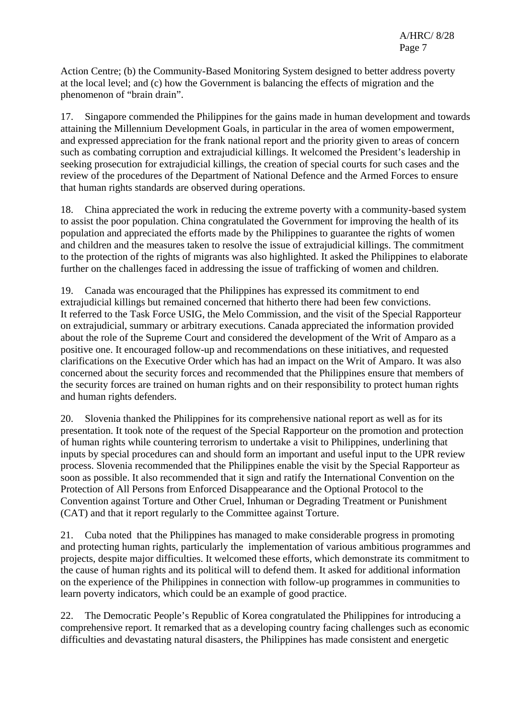Action Centre; (b) the Community-Based Monitoring System designed to better address poverty at the local level; and (c) how the Government is balancing the effects of migration and the phenomenon of "brain drain".

17. Singapore commended the Philippines for the gains made in human development and towards attaining the Millennium Development Goals, in particular in the area of women empowerment, and expressed appreciation for the frank national report and the priority given to areas of concern such as combating corruption and extrajudicial killings. It welcomed the President's leadership in seeking prosecution for extrajudicial killings, the creation of special courts for such cases and the review of the procedures of the Department of National Defence and the Armed Forces to ensure that human rights standards are observed during operations.

18. China appreciated the work in reducing the extreme poverty with a community-based system to assist the poor population. China congratulated the Government for improving the health of its population and appreciated the efforts made by the Philippines to guarantee the rights of women and children and the measures taken to resolve the issue of extrajudicial killings. The commitment to the protection of the rights of migrants was also highlighted. It asked the Philippines to elaborate further on the challenges faced in addressing the issue of trafficking of women and children.

19. Canada was encouraged that the Philippines has expressed its commitment to end extrajudicial killings but remained concerned that hitherto there had been few convictions. It referred to the Task Force USIG, the Melo Commission, and the visit of the Special Rapporteur on extrajudicial, summary or arbitrary executions. Canada appreciated the information provided about the role of the Supreme Court and considered the development of the Writ of Amparo as a positive one. It encouraged follow-up and recommendations on these initiatives, and requested clarifications on the Executive Order which has had an impact on the Writ of Amparo. It was also concerned about the security forces and recommended that the Philippines ensure that members of the security forces are trained on human rights and on their responsibility to protect human rights and human rights defenders.

20. Slovenia thanked the Philippines for its comprehensive national report as well as for its presentation. It took note of the request of the Special Rapporteur on the promotion and protection of human rights while countering terrorism to undertake a visit to Philippines, underlining that inputs by special procedures can and should form an important and useful input to the UPR review process. Slovenia recommended that the Philippines enable the visit by the Special Rapporteur as soon as possible. It also recommended that it sign and ratify the International Convention on the Protection of All Persons from Enforced Disappearance and the Optional Protocol to the Convention against Torture and Other Cruel, Inhuman or Degrading Treatment or Punishment (CAT) and that it report regularly to the Committee against Torture.

21. Cuba noted that the Philippines has managed to make considerable progress in promoting and protecting human rights, particularly the implementation of various ambitious programmes and projects, despite major difficulties. It welcomed these efforts, which demonstrate its commitment to the cause of human rights and its political will to defend them. It asked for additional information on the experience of the Philippines in connection with follow-up programmes in communities to learn poverty indicators, which could be an example of good practice.

22. The Democratic People's Republic of Korea congratulated the Philippines for introducing a comprehensive report. It remarked that as a developing country facing challenges such as economic difficulties and devastating natural disasters, the Philippines has made consistent and energetic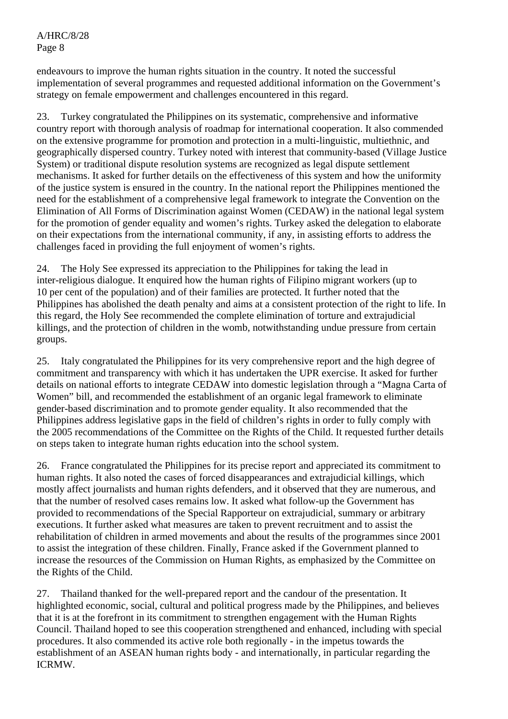endeavours to improve the human rights situation in the country. It noted the successful implementation of several programmes and requested additional information on the Government's strategy on female empowerment and challenges encountered in this regard.

23. Turkey congratulated the Philippines on its systematic, comprehensive and informative country report with thorough analysis of roadmap for international cooperation. It also commended on the extensive programme for promotion and protection in a multi-linguistic, multiethnic, and geographically dispersed country. Turkey noted with interest that community-based (Village Justice System) or traditional dispute resolution systems are recognized as legal dispute settlement mechanisms. It asked for further details on the effectiveness of this system and how the uniformity of the justice system is ensured in the country. In the national report the Philippines mentioned the need for the establishment of a comprehensive legal framework to integrate the Convention on the Elimination of All Forms of Discrimination against Women (CEDAW) in the national legal system for the promotion of gender equality and women's rights. Turkey asked the delegation to elaborate on their expectations from the international community, if any, in assisting efforts to address the challenges faced in providing the full enjoyment of women's rights.

24. The Holy See expressed its appreciation to the Philippines for taking the lead in inter-religious dialogue. It enquired how the human rights of Filipino migrant workers (up to 10 per cent of the population) and of their families are protected. It further noted that the Philippines has abolished the death penalty and aims at a consistent protection of the right to life. In this regard, the Holy See recommended the complete elimination of torture and extrajudicial killings, and the protection of children in the womb, notwithstanding undue pressure from certain groups.

25. Italy congratulated the Philippines for its very comprehensive report and the high degree of commitment and transparency with which it has undertaken the UPR exercise. It asked for further details on national efforts to integrate CEDAW into domestic legislation through a "Magna Carta of Women" bill, and recommended the establishment of an organic legal framework to eliminate gender-based discrimination and to promote gender equality. It also recommended that the Philippines address legislative gaps in the field of children's rights in order to fully comply with the 2005 recommendations of the Committee on the Rights of the Child. It requested further details on steps taken to integrate human rights education into the school system.

26. France congratulated the Philippines for its precise report and appreciated its commitment to human rights. It also noted the cases of forced disappearances and extrajudicial killings, which mostly affect journalists and human rights defenders, and it observed that they are numerous, and that the number of resolved cases remains low. It asked what follow-up the Government has provided to recommendations of the Special Rapporteur on extrajudicial, summary or arbitrary executions. It further asked what measures are taken to prevent recruitment and to assist the rehabilitation of children in armed movements and about the results of the programmes since 2001 to assist the integration of these children. Finally, France asked if the Government planned to increase the resources of the Commission on Human Rights, as emphasized by the Committee on the Rights of the Child.

27. Thailand thanked for the well-prepared report and the candour of the presentation. It highlighted economic, social, cultural and political progress made by the Philippines, and believes that it is at the forefront in its commitment to strengthen engagement with the Human Rights Council. Thailand hoped to see this cooperation strengthened and enhanced, including with special procedures. It also commended its active role both regionally - in the impetus towards the establishment of an ASEAN human rights body - and internationally, in particular regarding the ICRMW.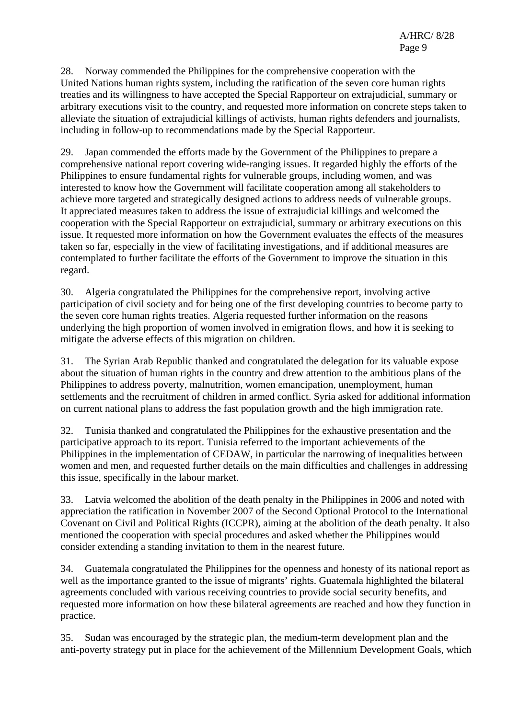28. Norway commended the Philippines for the comprehensive cooperation with the United Nations human rights system, including the ratification of the seven core human rights treaties and its willingness to have accepted the Special Rapporteur on extrajudicial, summary or arbitrary executions visit to the country, and requested more information on concrete steps taken to alleviate the situation of extrajudicial killings of activists, human rights defenders and journalists, including in follow-up to recommendations made by the Special Rapporteur.

29. Japan commended the efforts made by the Government of the Philippines to prepare a comprehensive national report covering wide-ranging issues. It regarded highly the efforts of the Philippines to ensure fundamental rights for vulnerable groups, including women, and was interested to know how the Government will facilitate cooperation among all stakeholders to achieve more targeted and strategically designed actions to address needs of vulnerable groups. It appreciated measures taken to address the issue of extrajudicial killings and welcomed the cooperation with the Special Rapporteur on extrajudicial, summary or arbitrary executions on this issue. It requested more information on how the Government evaluates the effects of the measures taken so far, especially in the view of facilitating investigations, and if additional measures are contemplated to further facilitate the efforts of the Government to improve the situation in this regard.

30. Algeria congratulated the Philippines for the comprehensive report, involving active participation of civil society and for being one of the first developing countries to become party to the seven core human rights treaties. Algeria requested further information on the reasons underlying the high proportion of women involved in emigration flows, and how it is seeking to mitigate the adverse effects of this migration on children.

31. The Syrian Arab Republic thanked and congratulated the delegation for its valuable expose about the situation of human rights in the country and drew attention to the ambitious plans of the Philippines to address poverty, malnutrition, women emancipation, unemployment, human settlements and the recruitment of children in armed conflict. Syria asked for additional information on current national plans to address the fast population growth and the high immigration rate.

32. Tunisia thanked and congratulated the Philippines for the exhaustive presentation and the participative approach to its report. Tunisia referred to the important achievements of the Philippines in the implementation of CEDAW, in particular the narrowing of inequalities between women and men, and requested further details on the main difficulties and challenges in addressing this issue, specifically in the labour market.

33. Latvia welcomed the abolition of the death penalty in the Philippines in 2006 and noted with appreciation the ratification in November 2007 of the Second Optional Protocol to the International Covenant on Civil and Political Rights (ICCPR), aiming at the abolition of the death penalty. It also mentioned the cooperation with special procedures and asked whether the Philippines would consider extending a standing invitation to them in the nearest future.

34. Guatemala congratulated the Philippines for the openness and honesty of its national report as well as the importance granted to the issue of migrants' rights. Guatemala highlighted the bilateral agreements concluded with various receiving countries to provide social security benefits, and requested more information on how these bilateral agreements are reached and how they function in practice.

35. Sudan was encouraged by the strategic plan, the medium-term development plan and the anti-poverty strategy put in place for the achievement of the Millennium Development Goals, which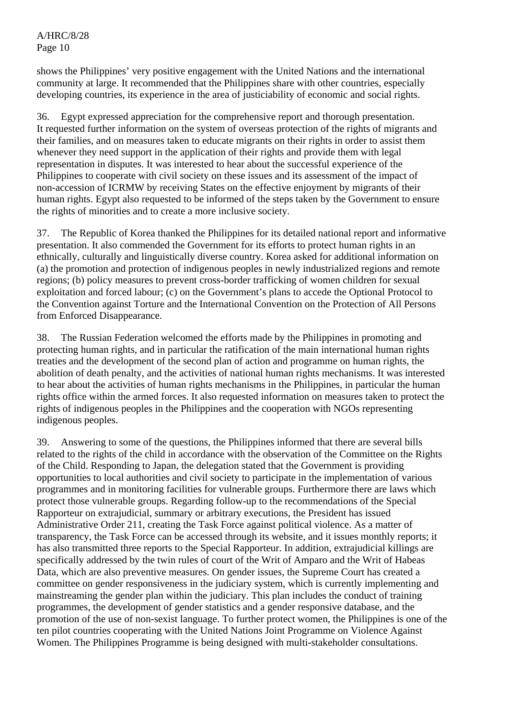shows the Philippines' very positive engagement with the United Nations and the international community at large. It recommended that the Philippines share with other countries, especially developing countries, its experience in the area of justiciability of economic and social rights.

36. Egypt expressed appreciation for the comprehensive report and thorough presentation. It requested further information on the system of overseas protection of the rights of migrants and their families, and on measures taken to educate migrants on their rights in order to assist them whenever they need support in the application of their rights and provide them with legal representation in disputes. It was interested to hear about the successful experience of the Philippines to cooperate with civil society on these issues and its assessment of the impact of non-accession of ICRMW by receiving States on the effective enjoyment by migrants of their human rights. Egypt also requested to be informed of the steps taken by the Government to ensure the rights of minorities and to create a more inclusive society.

37. The Republic of Korea thanked the Philippines for its detailed national report and informative presentation. It also commended the Government for its efforts to protect human rights in an ethnically, culturally and linguistically diverse country. Korea asked for additional information on (a) the promotion and protection of indigenous peoples in newly industrialized regions and remote regions; (b) policy measures to prevent cross-border trafficking of women children for sexual exploitation and forced labour; (c) on the Government's plans to accede the Optional Protocol to the Convention against Torture and the International Convention on the Protection of All Persons from Enforced Disappearance.

38. The Russian Federation welcomed the efforts made by the Philippines in promoting and protecting human rights, and in particular the ratification of the main international human rights treaties and the development of the second plan of action and programme on human rights, the abolition of death penalty, and the activities of national human rights mechanisms. It was interested to hear about the activities of human rights mechanisms in the Philippines, in particular the human rights office within the armed forces. It also requested information on measures taken to protect the rights of indigenous peoples in the Philippines and the cooperation with NGOs representing indigenous peoples.

39. Answering to some of the questions, the Philippines informed that there are several bills related to the rights of the child in accordance with the observation of the Committee on the Rights of the Child. Responding to Japan, the delegation stated that the Government is providing opportunities to local authorities and civil society to participate in the implementation of various programmes and in monitoring facilities for vulnerable groups. Furthermore there are laws which protect those vulnerable groups. Regarding follow-up to the recommendations of the Special Rapporteur on extrajudicial, summary or arbitrary executions, the President has issued Administrative Order 211, creating the Task Force against political violence. As a matter of transparency, the Task Force can be accessed through its website, and it issues monthly reports; it has also transmitted three reports to the Special Rapporteur. In addition, extrajudicial killings are specifically addressed by the twin rules of court of the Writ of Amparo and the Writ of Habeas Data, which are also preventive measures. On gender issues, the Supreme Court has created a committee on gender responsiveness in the judiciary system, which is currently implementing and mainstreaming the gender plan within the judiciary. This plan includes the conduct of training programmes, the development of gender statistics and a gender responsive database, and the promotion of the use of non-sexist language. To further protect women, the Philippines is one of the ten pilot countries cooperating with the United Nations Joint Programme on Violence Against Women. The Philippines Programme is being designed with multi-stakeholder consultations.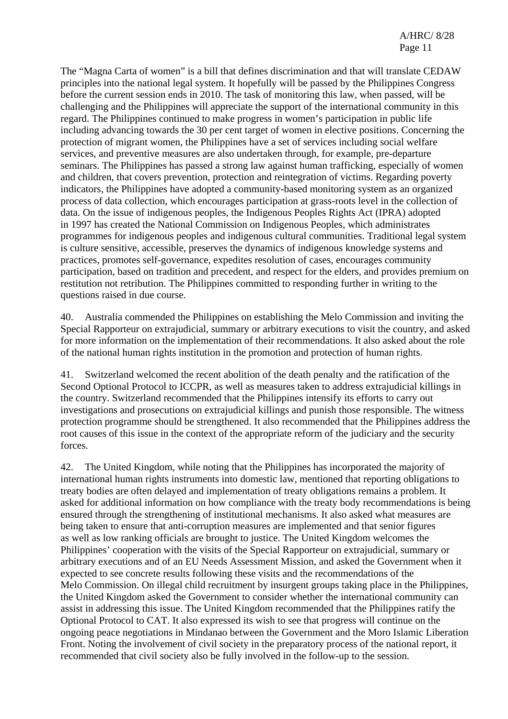The "Magna Carta of women" is a bill that defines discrimination and that will translate CEDAW principles into the national legal system. It hopefully will be passed by the Philippines Congress before the current session ends in 2010. The task of monitoring this law, when passed, will be challenging and the Philippines will appreciate the support of the international community in this regard. The Philippines continued to make progress in women's participation in public life including advancing towards the 30 per cent target of women in elective positions. Concerning the protection of migrant women, the Philippines have a set of services including social welfare services, and preventive measures are also undertaken through, for example, pre-departure seminars. The Philippines has passed a strong law against human trafficking, especially of women and children, that covers prevention, protection and reintegration of victims. Regarding poverty indicators, the Philippines have adopted a community-based monitoring system as an organized process of data collection, which encourages participation at grass-roots level in the collection of data. On the issue of indigenous peoples, the Indigenous Peoples Rights Act (IPRA) adopted in 1997 has created the National Commission on Indigenous Peoples, which administrates programmes for indigenous peoples and indigenous cultural communities. Traditional legal system is culture sensitive, accessible, preserves the dynamics of indigenous knowledge systems and practices, promotes self-governance, expedites resolution of cases, encourages community participation, based on tradition and precedent, and respect for the elders, and provides premium on restitution not retribution. The Philippines committed to responding further in writing to the questions raised in due course.

40. Australia commended the Philippines on establishing the Melo Commission and inviting the Special Rapporteur on extrajudicial, summary or arbitrary executions to visit the country, and asked for more information on the implementation of their recommendations. It also asked about the role of the national human rights institution in the promotion and protection of human rights.

41. Switzerland welcomed the recent abolition of the death penalty and the ratification of the Second Optional Protocol to ICCPR, as well as measures taken to address extrajudicial killings in the country. Switzerland recommended that the Philippines intensify its efforts to carry out investigations and prosecutions on extrajudicial killings and punish those responsible. The witness protection programme should be strengthened. It also recommended that the Philippines address the root causes of this issue in the context of the appropriate reform of the judiciary and the security forces.

42. The United Kingdom, while noting that the Philippines has incorporated the majority of international human rights instruments into domestic law, mentioned that reporting obligations to treaty bodies are often delayed and implementation of treaty obligations remains a problem. It asked for additional information on how compliance with the treaty body recommendations is being ensured through the strengthening of institutional mechanisms. It also asked what measures are being taken to ensure that anti-corruption measures are implemented and that senior figures as well as low ranking officials are brought to justice. The United Kingdom welcomes the Philippines' cooperation with the visits of the Special Rapporteur on extrajudicial, summary or arbitrary executions and of an EU Needs Assessment Mission, and asked the Government when it expected to see concrete results following these visits and the recommendations of the Melo Commission. On illegal child recruitment by insurgent groups taking place in the Philippines, the United Kingdom asked the Government to consider whether the international community can assist in addressing this issue. The United Kingdom recommended that the Philippines ratify the Optional Protocol to CAT. It also expressed its wish to see that progress will continue on the ongoing peace negotiations in Mindanao between the Government and the Moro Islamic Liberation Front. Noting the involvement of civil society in the preparatory process of the national report, it recommended that civil society also be fully involved in the follow-up to the session.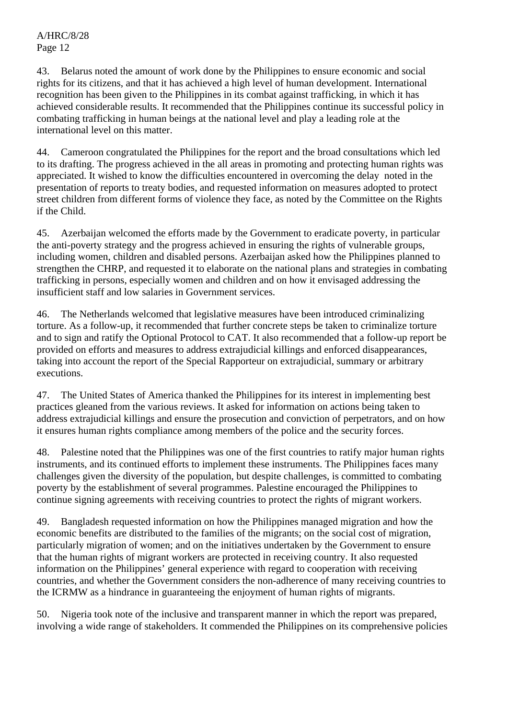43. Belarus noted the amount of work done by the Philippines to ensure economic and social rights for its citizens, and that it has achieved a high level of human development. International recognition has been given to the Philippines in its combat against trafficking, in which it has achieved considerable results. It recommended that the Philippines continue its successful policy in combating trafficking in human beings at the national level and play a leading role at the international level on this matter.

44. Cameroon congratulated the Philippines for the report and the broad consultations which led to its drafting. The progress achieved in the all areas in promoting and protecting human rights was appreciated. It wished to know the difficulties encountered in overcoming the delay noted in the presentation of reports to treaty bodies, and requested information on measures adopted to protect street children from different forms of violence they face, as noted by the Committee on the Rights if the Child.

45. Azerbaijan welcomed the efforts made by the Government to eradicate poverty, in particular the anti-poverty strategy and the progress achieved in ensuring the rights of vulnerable groups, including women, children and disabled persons. Azerbaijan asked how the Philippines planned to strengthen the CHRP, and requested it to elaborate on the national plans and strategies in combating trafficking in persons, especially women and children and on how it envisaged addressing the insufficient staff and low salaries in Government services.

46. The Netherlands welcomed that legislative measures have been introduced criminalizing torture. As a follow-up, it recommended that further concrete steps be taken to criminalize torture and to sign and ratify the Optional Protocol to CAT. It also recommended that a follow-up report be provided on efforts and measures to address extrajudicial killings and enforced disappearances, taking into account the report of the Special Rapporteur on extrajudicial, summary or arbitrary executions.

47. The United States of America thanked the Philippines for its interest in implementing best practices gleaned from the various reviews. It asked for information on actions being taken to address extrajudicial killings and ensure the prosecution and conviction of perpetrators, and on how it ensures human rights compliance among members of the police and the security forces.

48. Palestine noted that the Philippines was one of the first countries to ratify major human rights instruments, and its continued efforts to implement these instruments. The Philippines faces many challenges given the diversity of the population, but despite challenges, is committed to combating poverty by the establishment of several programmes. Palestine encouraged the Philippines to continue signing agreements with receiving countries to protect the rights of migrant workers.

49. Bangladesh requested information on how the Philippines managed migration and how the economic benefits are distributed to the families of the migrants; on the social cost of migration, particularly migration of women; and on the initiatives undertaken by the Government to ensure that the human rights of migrant workers are protected in receiving country. It also requested information on the Philippines' general experience with regard to cooperation with receiving countries, and whether the Government considers the non-adherence of many receiving countries to the ICRMW as a hindrance in guaranteeing the enjoyment of human rights of migrants.

50. Nigeria took note of the inclusive and transparent manner in which the report was prepared, involving a wide range of stakeholders. It commended the Philippines on its comprehensive policies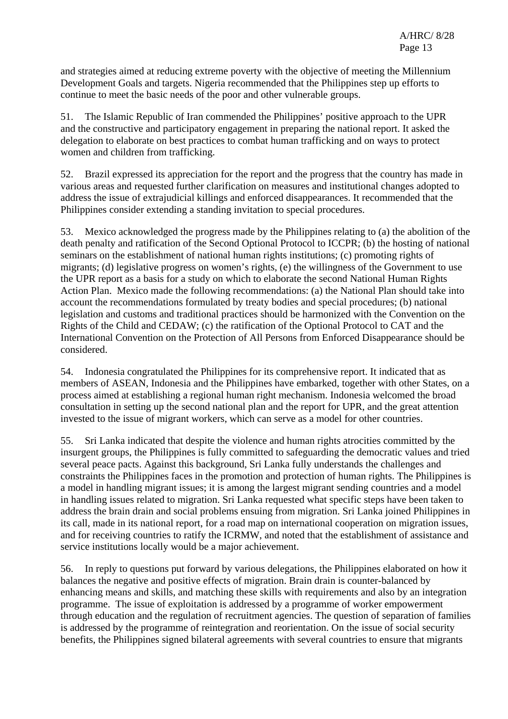and strategies aimed at reducing extreme poverty with the objective of meeting the Millennium Development Goals and targets. Nigeria recommended that the Philippines step up efforts to continue to meet the basic needs of the poor and other vulnerable groups.

51. The Islamic Republic of Iran commended the Philippines' positive approach to the UPR and the constructive and participatory engagement in preparing the national report. It asked the delegation to elaborate on best practices to combat human trafficking and on ways to protect women and children from trafficking.

52. Brazil expressed its appreciation for the report and the progress that the country has made in various areas and requested further clarification on measures and institutional changes adopted to address the issue of extrajudicial killings and enforced disappearances. It recommended that the Philippines consider extending a standing invitation to special procedures.

53. Mexico acknowledged the progress made by the Philippines relating to (a) the abolition of the death penalty and ratification of the Second Optional Protocol to ICCPR; (b) the hosting of national seminars on the establishment of national human rights institutions; (c) promoting rights of migrants; (d) legislative progress on women's rights, (e) the willingness of the Government to use the UPR report as a basis for a study on which to elaborate the second National Human Rights Action Plan. Mexico made the following recommendations: (a) the National Plan should take into account the recommendations formulated by treaty bodies and special procedures; (b) national legislation and customs and traditional practices should be harmonized with the Convention on the Rights of the Child and CEDAW; (c) the ratification of the Optional Protocol to CAT and the International Convention on the Protection of All Persons from Enforced Disappearance should be considered.

54. Indonesia congratulated the Philippines for its comprehensive report. It indicated that as members of ASEAN, Indonesia and the Philippines have embarked, together with other States, on a process aimed at establishing a regional human right mechanism. Indonesia welcomed the broad consultation in setting up the second national plan and the report for UPR, and the great attention invested to the issue of migrant workers, which can serve as a model for other countries.

55. Sri Lanka indicated that despite the violence and human rights atrocities committed by the insurgent groups, the Philippines is fully committed to safeguarding the democratic values and tried several peace pacts. Against this background, Sri Lanka fully understands the challenges and constraints the Philippines faces in the promotion and protection of human rights. The Philippines is a model in handling migrant issues; it is among the largest migrant sending countries and a model in handling issues related to migration. Sri Lanka requested what specific steps have been taken to address the brain drain and social problems ensuing from migration. Sri Lanka joined Philippines in its call, made in its national report, for a road map on international cooperation on migration issues, and for receiving countries to ratify the ICRMW, and noted that the establishment of assistance and service institutions locally would be a major achievement.

56. In reply to questions put forward by various delegations, the Philippines elaborated on how it balances the negative and positive effects of migration. Brain drain is counter-balanced by enhancing means and skills, and matching these skills with requirements and also by an integration programme. The issue of exploitation is addressed by a programme of worker empowerment through education and the regulation of recruitment agencies. The question of separation of families is addressed by the programme of reintegration and reorientation. On the issue of social security benefits, the Philippines signed bilateral agreements with several countries to ensure that migrants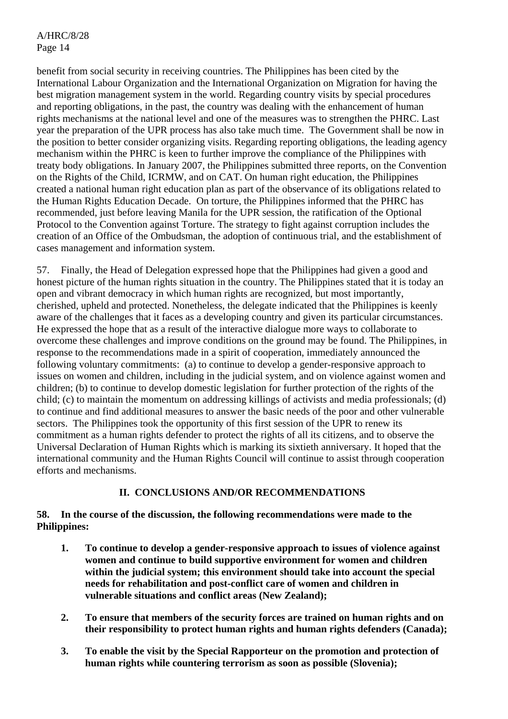benefit from social security in receiving countries. The Philippines has been cited by the International Labour Organization and the International Organization on Migration for having the best migration management system in the world. Regarding country visits by special procedures and reporting obligations, in the past, the country was dealing with the enhancement of human rights mechanisms at the national level and one of the measures was to strengthen the PHRC. Last year the preparation of the UPR process has also take much time. The Government shall be now in the position to better consider organizing visits. Regarding reporting obligations, the leading agency mechanism within the PHRC is keen to further improve the compliance of the Philippines with treaty body obligations. In January 2007, the Philippines submitted three reports, on the Convention on the Rights of the Child, ICRMW, and on CAT. On human right education, the Philippines created a national human right education plan as part of the observance of its obligations related to the Human Rights Education Decade. On torture, the Philippines informed that the PHRC has recommended, just before leaving Manila for the UPR session, the ratification of the Optional Protocol to the Convention against Torture. The strategy to fight against corruption includes the creation of an Office of the Ombudsman, the adoption of continuous trial, and the establishment of cases management and information system.

57. Finally, the Head of Delegation expressed hope that the Philippines had given a good and honest picture of the human rights situation in the country. The Philippines stated that it is today an open and vibrant democracy in which human rights are recognized, but most importantly, cherished, upheld and protected. Nonetheless, the delegate indicated that the Philippines is keenly aware of the challenges that it faces as a developing country and given its particular circumstances. He expressed the hope that as a result of the interactive dialogue more ways to collaborate to overcome these challenges and improve conditions on the ground may be found. The Philippines, in response to the recommendations made in a spirit of cooperation, immediately announced the following voluntary commitments: (a) to continue to develop a gender-responsive approach to issues on women and children, including in the judicial system, and on violence against women and children; (b) to continue to develop domestic legislation for further protection of the rights of the child; (c) to maintain the momentum on addressing killings of activists and media professionals; (d) to continue and find additional measures to answer the basic needs of the poor and other vulnerable sectors. The Philippines took the opportunity of this first session of the UPR to renew its commitment as a human rights defender to protect the rights of all its citizens, and to observe the Universal Declaration of Human Rights which is marking its sixtieth anniversary. It hoped that the international community and the Human Rights Council will continue to assist through cooperation efforts and mechanisms.

## **II. CONCLUSIONS AND/OR RECOMMENDATIONS**

## **58. In the course of the discussion, the following recommendations were made to the Philippines:**

- **1. To continue to develop a gender-responsive approach to issues of violence against women and continue to build supportive environment for women and children within the judicial system; this environment should take into account the special needs for rehabilitation and post-conflict care of women and children in vulnerable situations and conflict areas (New Zealand);**
- **2. To ensure that members of the security forces are trained on human rights and on their responsibility to protect human rights and human rights defenders (Canada);**
- **3. To enable the visit by the Special Rapporteur on the promotion and protection of human rights while countering terrorism as soon as possible (Slovenia);**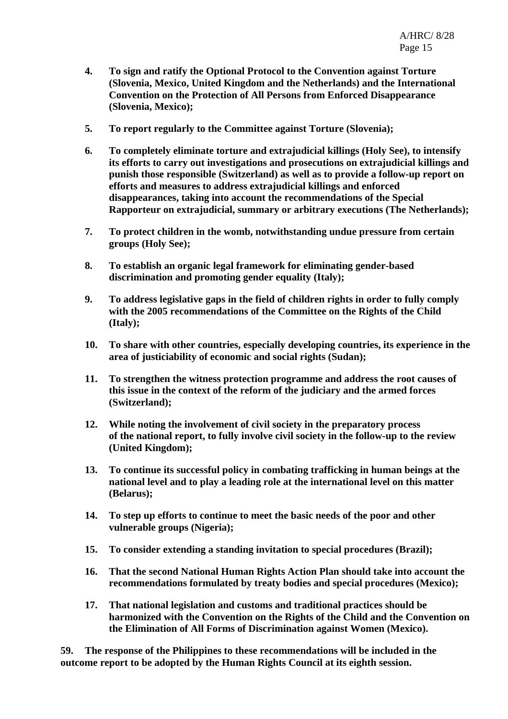- **4. To sign and ratify the Optional Protocol to the Convention against Torture (Slovenia, Mexico, United Kingdom and the Netherlands) and the International Convention on the Protection of All Persons from Enforced Disappearance (Slovenia, Mexico);**
- **5. To report regularly to the Committee against Torture (Slovenia);**
- **6. To completely eliminate torture and extrajudicial killings (Holy See), to intensify its efforts to carry out investigations and prosecutions on extrajudicial killings and punish those responsible (Switzerland) as well as to provide a follow-up report on efforts and measures to address extrajudicial killings and enforced disappearances, taking into account the recommendations of the Special Rapporteur on extrajudicial, summary or arbitrary executions (The Netherlands);**
- **7. To protect children in the womb, notwithstanding undue pressure from certain groups (Holy See);**
- **8. To establish an organic legal framework for eliminating gender-based discrimination and promoting gender equality (Italy);**
- **9. To address legislative gaps in the field of children rights in order to fully comply with the 2005 recommendations of the Committee on the Rights of the Child (Italy);**
- **10. To share with other countries, especially developing countries, its experience in the area of justiciability of economic and social rights (Sudan);**
- **11. To strengthen the witness protection programme and address the root causes of this issue in the context of the reform of the judiciary and the armed forces (Switzerland);**
- **12. While noting the involvement of civil society in the preparatory process of the national report, to fully involve civil society in the follow-up to the review (United Kingdom);**
- **13. To continue its successful policy in combating trafficking in human beings at the national level and to play a leading role at the international level on this matter (Belarus);**
- **14. To step up efforts to continue to meet the basic needs of the poor and other vulnerable groups (Nigeria);**
- **15. To consider extending a standing invitation to special procedures (Brazil);**
- **16. That the second National Human Rights Action Plan should take into account the recommendations formulated by treaty bodies and special procedures (Mexico);**
- **17. That national legislation and customs and traditional practices should be harmonized with the Convention on the Rights of the Child and the Convention on the Elimination of All Forms of Discrimination against Women (Mexico).**

**59. The response of the Philippines to these recommendations will be included in the outcome report to be adopted by the Human Rights Council at its eighth session.**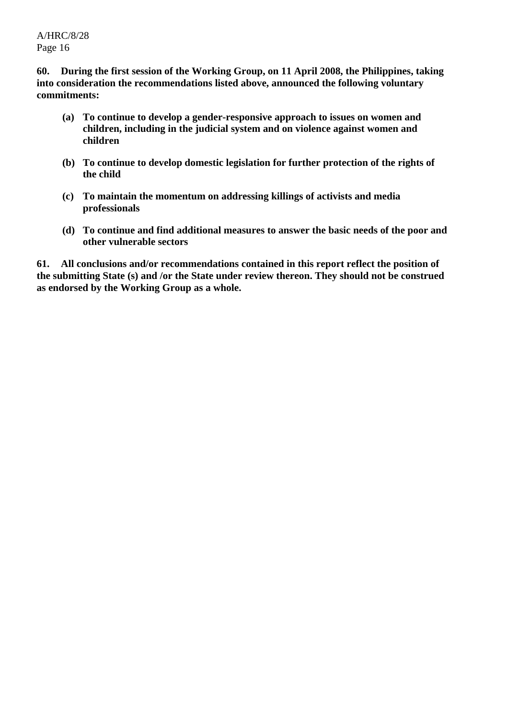**60. During the first session of the Working Group, on 11 April 2008, the Philippines, taking into consideration the recommendations listed above, announced the following voluntary commitments:** 

- **(a) To continue to develop a gender-responsive approach to issues on women and children, including in the judicial system and on violence against women and children**
- **(b) To continue to develop domestic legislation for further protection of the rights of the child**
- **(c) To maintain the momentum on addressing killings of activists and media professionals**
- **(d) To continue and find additional measures to answer the basic needs of the poor and other vulnerable sectors**

**61. All conclusions and/or recommendations contained in this report reflect the position of the submitting State (s) and /or the State under review thereon. They should not be construed as endorsed by the Working Group as a whole.**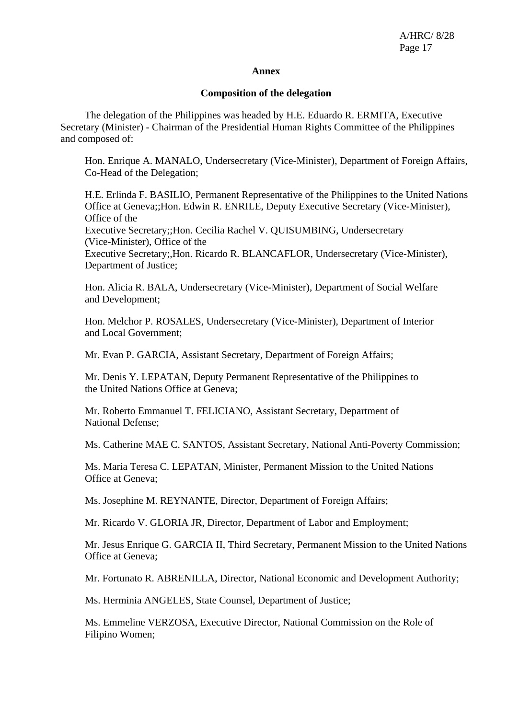#### **Annex**

#### **Composition of the delegation**

 The delegation of the Philippines was headed by H.E. Eduardo R. ERMITA, Executive Secretary (Minister) - Chairman of the Presidential Human Rights Committee of the Philippines and composed of:

Hon. Enrique A. MANALO, Undersecretary (Vice-Minister), Department of Foreign Affairs, Co-Head of the Delegation;

H.E. Erlinda F. BASILIO, Permanent Representative of the Philippines to the United Nations Office at Geneva;;Hon. Edwin R. ENRILE, Deputy Executive Secretary (Vice-Minister), Office of the Executive Secretary;;Hon. Cecilia Rachel V. QUISUMBING, Undersecretary (Vice-Minister), Office of the Executive Secretary;,Hon. Ricardo R. BLANCAFLOR, Undersecretary (Vice-Minister),

Department of Justice;

Hon. Alicia R. BALA, Undersecretary (Vice-Minister), Department of Social Welfare and Development;

Hon. Melchor P. ROSALES, Undersecretary (Vice-Minister), Department of Interior and Local Government;

Mr. Evan P. GARCIA, Assistant Secretary, Department of Foreign Affairs;

Mr. Denis Y. LEPATAN, Deputy Permanent Representative of the Philippines to the United Nations Office at Geneva;

Mr. Roberto Emmanuel T. FELICIANO, Assistant Secretary, Department of National Defense;

Ms. Catherine MAE C. SANTOS, Assistant Secretary, National Anti-Poverty Commission;

Ms. Maria Teresa C. LEPATAN, Minister, Permanent Mission to the United Nations Office at Geneva;

Ms. Josephine M. REYNANTE, Director, Department of Foreign Affairs;

Mr. Ricardo V. GLORIA JR, Director, Department of Labor and Employment;

Mr. Jesus Enrique G. GARCIA II, Third Secretary, Permanent Mission to the United Nations Office at Geneva;

Mr. Fortunato R. ABRENILLA, Director, National Economic and Development Authority;

Ms. Herminia ANGELES, State Counsel, Department of Justice;

Ms. Emmeline VERZOSA, Executive Director, National Commission on the Role of Filipino Women;